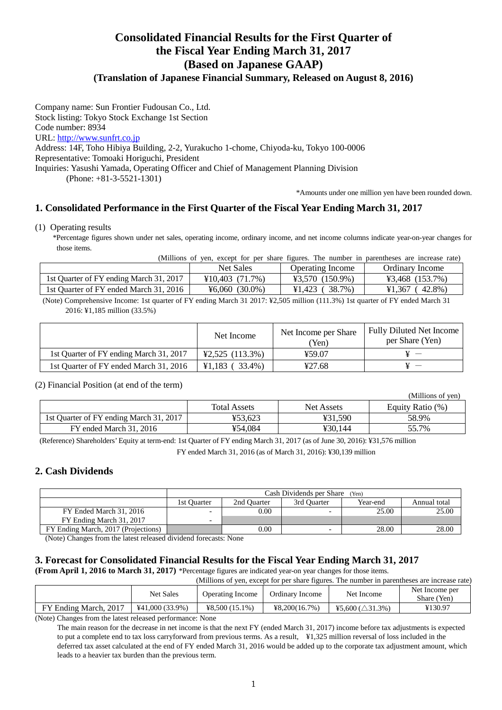# **Consolidated Financial Results for the First Quarter of the Fiscal Year Ending March 31, 2017 (Based on Japanese GAAP)**

### **(Translation of Japanese Financial Summary, Released on August 8, 2016)**

Company name: Sun Frontier Fudousan Co., Ltd. Stock listing: Tokyo Stock Exchange 1st Section Code number: 8934 URL: http://www.sunfrt.co.jp Address: 14F, Toho Hibiya Building, 2-2, Yurakucho 1-chome, Chiyoda-ku, Tokyo 100-0006 Representative: Tomoaki Horiguchi, President Inquiries: Yasushi Yamada, Operating Officer and Chief of Management Planning Division (Phone: +81-3-5521-1301)

\*Amounts under one million yen have been rounded down.

### **1. Consolidated Performance in the First Quarter of the Fiscal Year Ending March 31, 2017**

(1) Operating results

\*Percentage figures shown under net sales, operating income, ordinary income, and net income columns indicate year-on-year changes for those items.

(Millions of yen, except for per share figures. The number in parentheses are increase rate)

|                                         | <b>Net Sales</b>                     | Operating Income         | Ordinary Income                      |
|-----------------------------------------|--------------------------------------|--------------------------|--------------------------------------|
| 1st Quarter of FY ending March 31, 2017 | $\text{\textsterling}10,403$ (71.7%) | $43,570$ (150.9%)        | $\text{\textsterling}3,468$ (153.7%) |
| 1st Ouarter of FY ended March 31, 2016  | $\text{\textdegree}6.060\ (30.0\%)$  | $(38.7\%)$<br>$¥1.423$ ( | 42.8%)<br>¥1.367                     |
|                                         |                                      |                          |                                      |

(Note) Comprehensive Income: 1st quarter of FY ending March 31 2017: ¥2,505 million (111.3%) 1st quarter of FY ended March 31 2016: ¥1,185 million (33.5%)

|                                         | Net Income                           | Net Income per Share<br>Yen) | <b>Fully Diluted Net Income</b><br>per Share (Yen) |
|-----------------------------------------|--------------------------------------|------------------------------|----------------------------------------------------|
| 1st Quarter of FY ending March 31, 2017 | $\text{\textsterling}2,525$ (113.3%) | ¥59.07                       |                                                    |
| 1st Quarter of FY ended March 31, 2016  | $\text{\textsterling}1,183$ (33.4%)  | 427.68                       | $\sim$ $ \sim$                                     |

#### (2) Financial Position (at end of the term)

|                                         |                     |            | (Millions of yen) |
|-----------------------------------------|---------------------|------------|-------------------|
|                                         | <b>Total Assets</b> | Net Assets | Equity Ratio (%)  |
| 1st Quarter of FY ending March 31, 2017 | ¥53.623             | ¥31.590    | 58.9%             |
| FY ended March 31, 2016                 | ¥54.084             | ¥30.144    | 55.7%             |

(Reference) Shareholders' Equity at term-end: 1st Quarter of FY ending March 31, 2017 (as of June 30, 2016): ¥31,576 million

FY ended March 31, 2016 (as of March 31, 2016): ¥30,139 million

### **2. Cash Dividends**

|                                     | Cash Dividends per Share (Yen)                                        |      |                          |       |       |  |  |  |
|-------------------------------------|-----------------------------------------------------------------------|------|--------------------------|-------|-------|--|--|--|
|                                     | Year-end<br>2nd Ouarter<br>3rd Ouarter<br>Annual total<br>1st Ouarter |      |                          |       |       |  |  |  |
| FY Ended March 31, 2016             | $\overline{\phantom{0}}$                                              | 0.00 | $\overline{\phantom{0}}$ | 25.00 | 25.00 |  |  |  |
| FY Ending March 31, 2017            | $\overline{\phantom{0}}$                                              |      |                          |       |       |  |  |  |
| FY Ending March, 2017 (Projections) |                                                                       | 0.00 | $\overline{\phantom{0}}$ | 28.00 | 28.00 |  |  |  |

(Note) Changes from the latest released dividend forecasts: None

### **3. Forecast for Consolidated Financial Results for the Fiscal Year Ending March 31, 2017**

**(From April 1, 2016 to March 31, 2017)** \*Percentage figures are indicated year-on year changes for those items.

(Millions of yen, except for per share figures. The number in parentheses are increase rate)

|                       | <b>Net Sales</b>  | <b>Operating Income</b> | Ordinary Income | Net Income                  | Net Income per<br>Share (Yen) |
|-----------------------|-------------------|-------------------------|-----------------|-----------------------------|-------------------------------|
| FY Ending March, 2017 | $441,000(33.9\%)$ | $48,500(15.1\%)$        | 48,200(16.7%)   | ¥5.600 ( $\triangle$ 31.3%) | ¥130.97                       |

(Note) Changes from the latest released performance: None

The main reason for the decrease in net income is that the next FY (ended March 31, 2017) income before tax adjustments is expected to put a complete end to tax loss carryforward from previous terms. As a result, ¥1,325 million reversal of loss included in the deferred tax asset calculated at the end of FY ended March 31, 2016 would be added up to the corporate tax adjustment amount, which leads to a heavier tax burden than the previous term.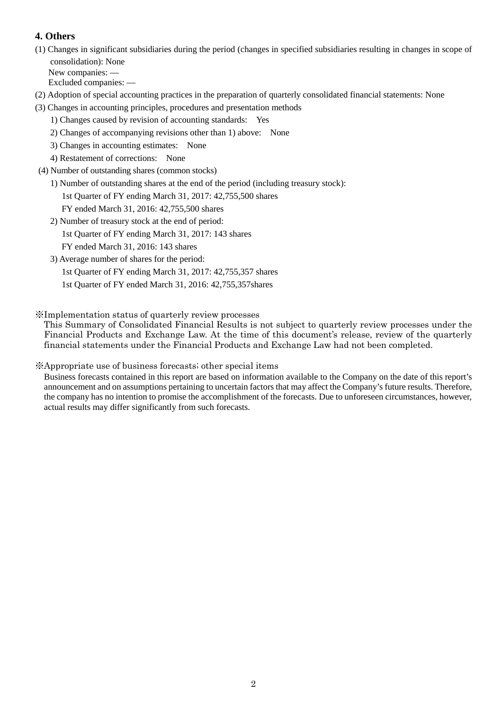## **4. Others**

(1) Changes in significant subsidiaries during the period (changes in specified subsidiaries resulting in changes in scope of consolidation): None

New companies: — Excluded companies: —

(2) Adoption of special accounting practices in the preparation of quarterly consolidated financial statements: None

- (3) Changes in accounting principles, procedures and presentation methods
	- 1) Changes caused by revision of accounting standards: Yes
	- 2) Changes of accompanying revisions other than 1) above: None
	- 3) Changes in accounting estimates: None
	- 4) Restatement of corrections: None
- (4) Number of outstanding shares (common stocks)
	- 1) Number of outstanding shares at the end of the period (including treasury stock):

1st Quarter of FY ending March 31, 2017: 42,755,500 shares

- FY ended March 31, 2016: 42,755,500 shares
- 2) Number of treasury stock at the end of period: 1st Quarter of FY ending March 31, 2017: 143 shares FY ended March 31, 2016: 143 shares
- 3) Average number of shares for the period:
	- 1st Quarter of FY ending March 31, 2017: 42,755,357 shares
	- 1st Quarter of FY ended March 31, 2016: 42,755,357shares

※Implementation status of quarterly review processes

This Summary of Consolidated Financial Results is not subject to quarterly review processes under the Financial Products and Exchange Law. At the time of this document's release, review of the quarterly financial statements under the Financial Products and Exchange Law had not been completed.

### ※Appropriate use of business forecasts; other special items

Business forecasts contained in this report are based on information available to the Company on the date of this report's announcement and on assumptions pertaining to uncertain factors that may affect the Company's future results. Therefore, the company has no intention to promise the accomplishment of the forecasts. Due to unforeseen circumstances, however, actual results may differ significantly from such forecasts.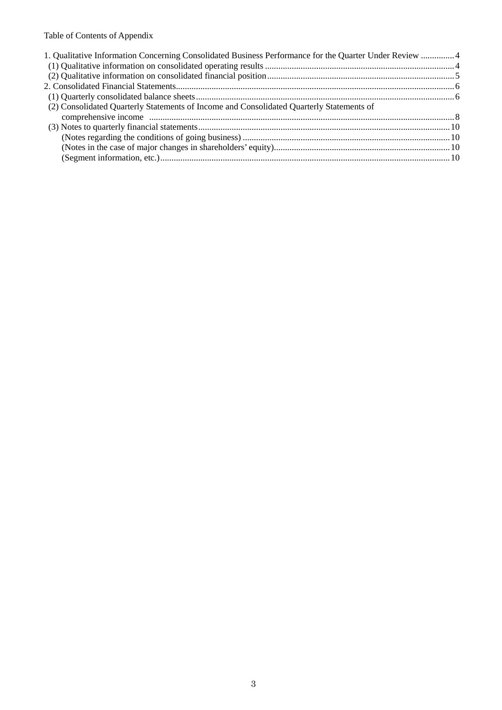# Table of Contents of Appendix

| 1. Qualitative Information Concerning Consolidated Business Performance for the Quarter Under Review 4 |  |
|--------------------------------------------------------------------------------------------------------|--|
|                                                                                                        |  |
|                                                                                                        |  |
|                                                                                                        |  |
|                                                                                                        |  |
| (2) Consolidated Quarterly Statements of Income and Consolidated Quarterly Statements of               |  |
|                                                                                                        |  |
|                                                                                                        |  |
|                                                                                                        |  |
|                                                                                                        |  |
|                                                                                                        |  |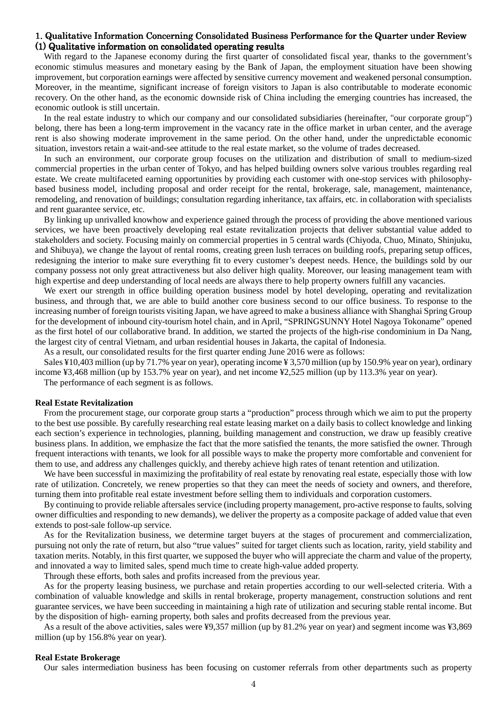#### 1. Qualitative Information Concerning Consolidated Business Performance for the Quarter under Review  $(1)$  Qualitative information on consolidated operating results

With regard to the Japanese economy during the first quarter of consolidated fiscal year, thanks to the government's economic stimulus measures and monetary easing by the Bank of Japan, the employment situation have been showing improvement, but corporation earnings were affected by sensitive currency movement and weakened personal consumption. Moreover, in the meantime, significant increase of foreign visitors to Japan is also contributable to moderate economic recovery. On the other hand, as the economic downside risk of China including the emerging countries has increased, the economic outlook is still uncertain.

In the real estate industry to which our company and our consolidated subsidiaries (hereinafter, "our corporate group") belong, there has been a long-term improvement in the vacancy rate in the office market in urban center, and the average rent is also showing moderate improvement in the same period. On the other hand, under the unpredictable economic situation, investors retain a wait-and-see attitude to the real estate market, so the volume of trades decreased.

In such an environment, our corporate group focuses on the utilization and distribution of small to medium-sized commercial properties in the urban center of Tokyo, and has helped building owners solve various troubles regarding real estate. We create multifaceted earning opportunities by providing each customer with one-stop services with philosophybased business model, including proposal and order receipt for the rental, brokerage, sale, management, maintenance, remodeling, and renovation of buildings; consultation regarding inheritance, tax affairs, etc. in collaboration with specialists and rent guarantee service, etc.

By linking up unrivalled knowhow and experience gained through the process of providing the above mentioned various services, we have been proactively developing real estate revitalization projects that deliver substantial value added to stakeholders and society. Focusing mainly on commercial properties in 5 central wards (Chiyoda, Chuo, Minato, Shinjuku, and Shibuya), we change the layout of rental rooms, creating green lush terraces on building roofs, preparing setup offices, redesigning the interior to make sure everything fit to every customer's deepest needs. Hence, the buildings sold by our company possess not only great attractiveness but also deliver high quality. Moreover, our leasing management team with high expertise and deep understanding of local needs are always there to help property owners fulfill any vacancies.

We exert our strength in office building operation business model by hotel developing, operating and revitalization business, and through that, we are able to build another core business second to our office business. To response to the increasing number of foreign tourists visiting Japan, we have agreed to make a business alliance with Shanghai Spring Group for the development of inbound city-tourism hotel chain, and in April, "SPRINGSUNNY Hotel Nagoya Tokoname" opened as the first hotel of our collaborative brand. In addition, we started the projects of the high-rise condominium in Da Nang, the largest city of central Vietnam, and urban residential houses in Jakarta, the capital of Indonesia.

As a result, our consolidated results for the first quarter ending June 2016 were as follows:

Sales ¥10,403 million (up by 71.7% year on year), operating income ¥ 3,570 million (up by 150.9% year on year), ordinary income ¥3,468 million (up by 153.7% year on year), and net income ¥2,525 million (up by 113.3% year on year).

The performance of each segment is as follows.

#### **Real Estate Revitalization**

From the procurement stage, our corporate group starts a "production" process through which we aim to put the property to the best use possible. By carefully researching real estate leasing market on a daily basis to collect knowledge and linking each section's experience in technologies, planning, building management and construction, we draw up feasibly creative business plans. In addition, we emphasize the fact that the more satisfied the tenants, the more satisfied the owner. Through frequent interactions with tenants, we look for all possible ways to make the property more comfortable and convenient for them to use, and address any challenges quickly, and thereby achieve high rates of tenant retention and utilization.

We have been successful in maximizing the profitability of real estate by renovating real estate, especially those with low rate of utilization. Concretely, we renew properties so that they can meet the needs of society and owners, and therefore, turning them into profitable real estate investment before selling them to individuals and corporation customers.

By continuing to provide reliable aftersales service (including property management, pro-active response to faults, solving owner difficulties and responding to new demands), we deliver the property as a composite package of added value that even extends to post-sale follow-up service.

As for the Revitalization business, we determine target buyers at the stages of procurement and commercialization, pursuing not only the rate of return, but also "true values" suited for target clients such as location, rarity, yield stability and taxation merits. Notably, in this first quarter, we supposed the buyer who will appreciate the charm and value of the property, and innovated a way to limited sales, spend much time to create high-value added property.

Through these efforts, both sales and profits increased from the previous year.

As for the property leasing business, we purchase and retain properties according to our well-selected criteria. With a combination of valuable knowledge and skills in rental brokerage, property management, construction solutions and rent guarantee services, we have been succeeding in maintaining a high rate of utilization and securing stable rental income. But by the disposition of high- earning property, both sales and profits decreased from the previous year.

As a result of the above activities, sales were ¥9,357 million (up by 81.2% year on year) and segment income was ¥3,869 million (up by 156.8% year on year).

#### **Real Estate Brokerage**

Our sales intermediation business has been focusing on customer referrals from other departments such as property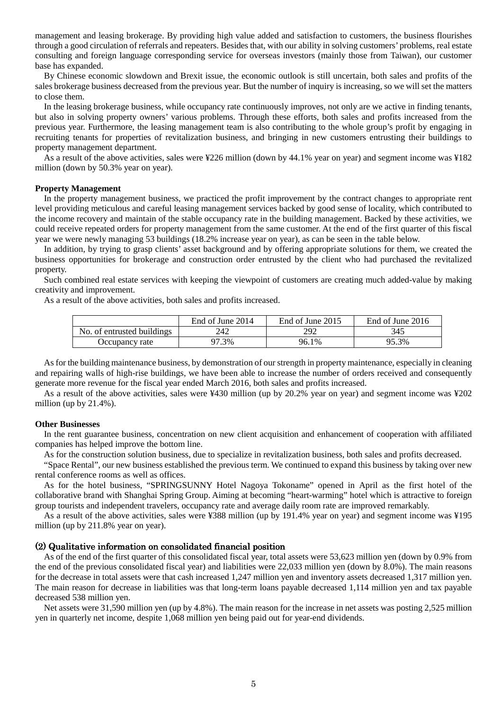management and leasing brokerage. By providing high value added and satisfaction to customers, the business flourishes through a good circulation of referrals and repeaters. Besides that, with our ability in solving customers' problems, real estate consulting and foreign language corresponding service for overseas investors (mainly those from Taiwan), our customer base has expanded.

By Chinese economic slowdown and Brexit issue, the economic outlook is still uncertain, both sales and profits of the sales brokerage business decreased from the previous year. But the number of inquiry is increasing, so we will set the matters to close them.

In the leasing brokerage business, while occupancy rate continuously improves, not only are we active in finding tenants, but also in solving property owners' various problems. Through these efforts, both sales and profits increased from the previous year. Furthermore, the leasing management team is also contributing to the whole group's profit by engaging in recruiting tenants for properties of revitalization business, and bringing in new customers entrusting their buildings to property management department.

As a result of the above activities, sales were ¥226 million (down by 44.1% year on year) and segment income was ¥182 million (down by 50.3% year on year).

#### **Property Management**

In the property management business, we practiced the profit improvement by the contract changes to appropriate rent level providing meticulous and careful leasing management services backed by good sense of locality, which contributed to the income recovery and maintain of the stable occupancy rate in the building management. Backed by these activities, we could receive repeated orders for property management from the same customer. At the end of the first quarter of this fiscal year we were newly managing 53 buildings (18.2% increase year on year), as can be seen in the table below.

In addition, by trying to grasp clients' asset background and by offering appropriate solutions for them, we created the business opportunities for brokerage and construction order entrusted by the client who had purchased the revitalized property.

Such combined real estate services with keeping the viewpoint of customers are creating much added-value by making creativity and improvement.

As a result of the above activities, both sales and profits increased.

|                            | End of June 2014 | End of June 2015 | End of June 2016 |
|----------------------------|------------------|------------------|------------------|
| No. of entrusted buildings | 242              | 292              | 345              |
| Occupancy rate             | .3%              | 96.1%            | 95.3%            |

As for the building maintenance business, by demonstration of our strength in property maintenance, especially in cleaning and repairing walls of high-rise buildings, we have been able to increase the number of orders received and consequently generate more revenue for the fiscal year ended March 2016, both sales and profits increased.

As a result of the above activities, sales were ¥430 million (up by 20.2% year on year) and segment income was ¥202 million (up by 21.4%).

#### **Other Businesses**

In the rent guarantee business, concentration on new client acquisition and enhancement of cooperation with affiliated companies has helped improve the bottom line.

As for the construction solution business, due to specialize in revitalization business, both sales and profits decreased.

"Space Rental", our new business established the previous term. We continued to expand this business by taking over new rental conference rooms as well as offices.

As for the hotel business, "SPRINGSUNNY Hotel Nagoya Tokoname" opened in April as the first hotel of the collaborative brand with Shanghai Spring Group. Aiming at becoming "heart-warming" hotel which is attractive to foreign group tourists and independent travelers, occupancy rate and average daily room rate are improved remarkably.

As a result of the above activities, sales were ¥388 million (up by 191.4% year on year) and segment income was ¥195 million (up by 211.8% year on year).

#### $(2)$  Qualitative information on consolidated financial position

As of the end of the first quarter of this consolidated fiscal year, total assets were 53,623 million yen (down by 0.9% from the end of the previous consolidated fiscal year) and liabilities were 22,033 million yen (down by 8.0%). The main reasons for the decrease in total assets were that cash increased 1,247 million yen and inventory assets decreased 1,317 million yen. The main reason for decrease in liabilities was that long-term loans payable decreased 1,114 million yen and tax payable decreased 538 million yen.

Net assets were 31,590 million yen (up by 4.8%). The main reason for the increase in net assets was posting 2,525 million yen in quarterly net income, despite 1,068 million yen being paid out for year-end dividends.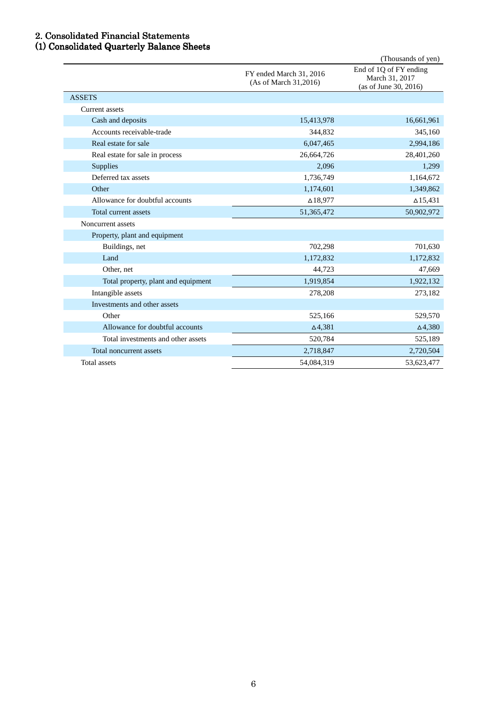### 2. Consolidated Financial Statements 2. Consolidated Statements

### (1) Consolidated Quarterly Balance Sheets (1) Consolidated Sheets

|                                     |                                                  | (Thousands of yen)                                                |
|-------------------------------------|--------------------------------------------------|-------------------------------------------------------------------|
|                                     | FY ended March 31, 2016<br>(As of March 31,2016) | End of 1Q of FY ending<br>March 31, 2017<br>(as of June 30, 2016) |
| <b>ASSETS</b>                       |                                                  |                                                                   |
| <b>Current</b> assets               |                                                  |                                                                   |
| Cash and deposits                   | 15,413,978                                       | 16,661,961                                                        |
| Accounts receivable-trade           | 344,832                                          | 345,160                                                           |
| Real estate for sale                | 6,047,465                                        | 2,994,186                                                         |
| Real estate for sale in process     | 26,664,726                                       | 28,401,260                                                        |
| Supplies                            | 2,096                                            | 1,299                                                             |
| Deferred tax assets                 | 1,736,749                                        | 1,164,672                                                         |
| Other                               | 1,174,601                                        | 1,349,862                                                         |
| Allowance for doubtful accounts     | $\Delta$ 18,977                                  | $\Delta$ 15,431                                                   |
| Total current assets                | 51,365,472                                       | 50,902,972                                                        |
| Noncurrent assets                   |                                                  |                                                                   |
| Property, plant and equipment       |                                                  |                                                                   |
| Buildings, net                      | 702,298                                          | 701,630                                                           |
| Land                                | 1,172,832                                        | 1,172,832                                                         |
| Other, net                          | 44,723                                           | 47,669                                                            |
| Total property, plant and equipment | 1,919,854                                        | 1,922,132                                                         |
| Intangible assets                   | 278,208                                          | 273,182                                                           |
| Investments and other assets        |                                                  |                                                                   |
| Other                               | 525,166                                          | 529,570                                                           |
| Allowance for doubtful accounts     | $\Delta$ 4,381                                   | $\Delta$ 4,380                                                    |
| Total investments and other assets  | 520,784                                          | 525,189                                                           |
| Total noncurrent assets             | 2,718,847                                        | 2,720,504                                                         |
| Total assets                        | 54,084,319                                       | 53,623,477                                                        |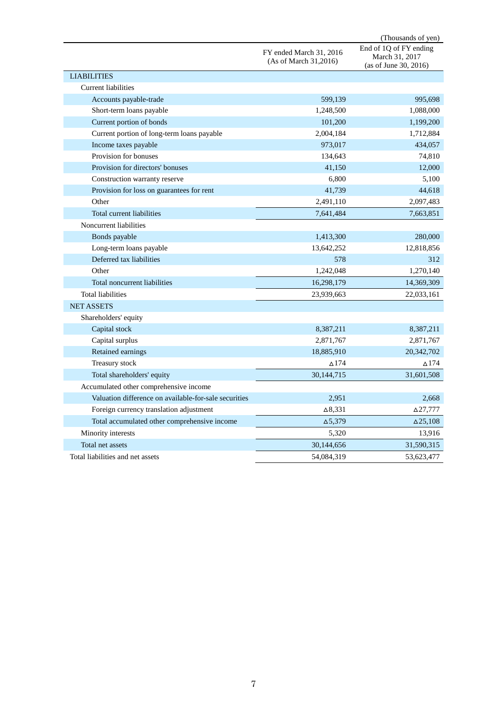|                                                       |                                                  | (Thousands of yen)                                                |
|-------------------------------------------------------|--------------------------------------------------|-------------------------------------------------------------------|
|                                                       | FY ended March 31, 2016<br>(As of March 31,2016) | End of 1Q of FY ending<br>March 31, 2017<br>(as of June 30, 2016) |
| <b>LIABILITIES</b>                                    |                                                  |                                                                   |
| <b>Current liabilities</b>                            |                                                  |                                                                   |
| Accounts payable-trade                                | 599,139                                          | 995,698                                                           |
| Short-term loans payable                              | 1,248,500                                        | 1,088,000                                                         |
| Current portion of bonds                              | 101,200                                          | 1,199,200                                                         |
| Current portion of long-term loans payable            | 2,004,184                                        | 1,712,884                                                         |
| Income taxes payable                                  | 973,017                                          | 434,057                                                           |
| Provision for bonuses                                 | 134,643                                          | 74,810                                                            |
| Provision for directors' bonuses                      | 41,150                                           | 12,000                                                            |
| Construction warranty reserve                         | 6,800                                            | 5,100                                                             |
| Provision for loss on guarantees for rent             | 41,739                                           | 44,618                                                            |
| Other                                                 | 2,491,110                                        | 2,097,483                                                         |
| Total current liabilities                             | 7,641,484                                        | 7,663,851                                                         |
| Noncurrent liabilities                                |                                                  |                                                                   |
| Bonds payable                                         | 1,413,300                                        | 280,000                                                           |
| Long-term loans payable                               | 13,642,252                                       | 12,818,856                                                        |
| Deferred tax liabilities                              | 578                                              | 312                                                               |
| Other                                                 | 1,242,048                                        | 1,270,140                                                         |
| Total noncurrent liabilities                          | 16,298,179                                       | 14,369,309                                                        |
| <b>Total liabilities</b>                              | 23,939,663                                       | 22,033,161                                                        |
| <b>NET ASSETS</b>                                     |                                                  |                                                                   |
| Shareholders' equity                                  |                                                  |                                                                   |
| Capital stock                                         | 8,387,211                                        | 8,387,211                                                         |
| Capital surplus                                       | 2,871,767                                        | 2,871,767                                                         |
| Retained earnings                                     | 18,885,910                                       | 20,342,702                                                        |
| Treasury stock                                        | $\Delta$ 174                                     | $\Delta$ 174                                                      |
| Total shareholders' equity                            | 30,144,715                                       | 31,601,508                                                        |
| Accumulated other comprehensive income                |                                                  |                                                                   |
| Valuation difference on available-for-sale securities | 2,951                                            | 2,668                                                             |
| Foreign currency translation adjustment               | $\Delta$ 8,331                                   | ∆27,777                                                           |
| Total accumulated other comprehensive income          | $\Delta$ 5,379                                   | $\Delta$ 25,108                                                   |
| Minority interests                                    | 5,320                                            | 13,916                                                            |
| Total net assets                                      | 30,144,656                                       | 31,590,315                                                        |
| Total liabilities and net assets                      | 54,084,319                                       | 53,623,477                                                        |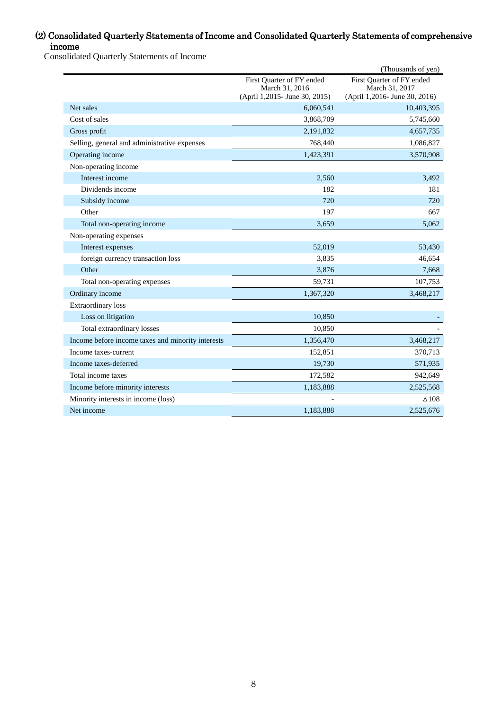### (2) Consolidated Quarterly Statements of Income and Consolidated Quarterly Statements of comprehensive income

Consolidated Quarterly Statements of Income

|                                                   |                                                  | (Thousands of yen)                              |
|---------------------------------------------------|--------------------------------------------------|-------------------------------------------------|
|                                                   | First Quarter of FY ended                        | First Quarter of FY ended                       |
|                                                   | March 31, 2016<br>(April 1,2015 - June 30, 2015) | March 31, 2017<br>(April 1,2016- June 30, 2016) |
| Net sales                                         | 6,060,541                                        | 10,403,395                                      |
| Cost of sales                                     | 3,868,709                                        | 5,745,660                                       |
| Gross profit                                      | 2,191,832                                        | 4,657,735                                       |
| Selling, general and administrative expenses      | 768,440                                          | 1,086,827                                       |
| Operating income                                  | 1,423,391                                        | 3,570,908                                       |
| Non-operating income                              |                                                  |                                                 |
| Interest income                                   | 2,560                                            | 3,492                                           |
| Dividends income                                  | 182                                              | 181                                             |
| Subsidy income                                    | 720                                              | 720                                             |
| Other                                             | 197                                              | 667                                             |
| Total non-operating income                        | 3,659                                            | 5,062                                           |
| Non-operating expenses                            |                                                  |                                                 |
| Interest expenses                                 | 52,019                                           | 53,430                                          |
| foreign currency transaction loss                 | 3,835                                            | 46,654                                          |
| Other                                             | 3,876                                            | 7,668                                           |
| Total non-operating expenses                      | 59,731                                           | 107,753                                         |
| Ordinary income                                   | 1,367,320                                        | 3,468,217                                       |
| <b>Extraordinary</b> loss                         |                                                  |                                                 |
| Loss on litigation                                | 10,850                                           |                                                 |
| Total extraordinary losses                        | 10,850                                           |                                                 |
| Income before income taxes and minority interests | 1,356,470                                        | 3,468,217                                       |
| Income taxes-current                              | 152,851                                          | 370,713                                         |
| Income taxes-deferred                             | 19,730                                           | 571,935                                         |
| Total income taxes                                | 172,582                                          | 942,649                                         |
| Income before minority interests                  | 1,183,888                                        | 2,525,568                                       |
| Minority interests in income (loss)               |                                                  | $\Delta 108$                                    |
| Net income                                        | 1,183,888                                        | 2,525,676                                       |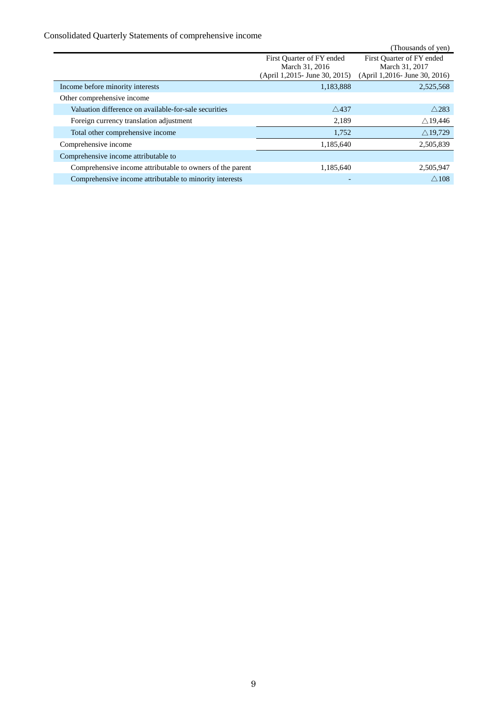# Consolidated Quarterly Statements of comprehensive income

|                                                           |                                | (Thousands of yen)            |
|-----------------------------------------------------------|--------------------------------|-------------------------------|
|                                                           | First Quarter of FY ended      | First Quarter of FY ended     |
|                                                           | March 31, 2016                 | March 31, 2017                |
|                                                           | (April 1,2015 - June 30, 2015) | (April 1,2016- June 30, 2016) |
| Income before minority interests                          | 1,183,888                      | 2,525,568                     |
| Other comprehensive income                                |                                |                               |
| Valuation difference on available-for-sale securities     | $\wedge$ 437                   | $\wedge$ 283                  |
| Foreign currency translation adjustment                   | 2,189                          | $\triangle$ 19,446            |
| Total other comprehensive income                          | 1,752                          | $\triangle$ 19,729            |
| Comprehensive income                                      | 1,185,640                      | 2,505,839                     |
| Comprehensive income attributable to                      |                                |                               |
| Comprehensive income attributable to owners of the parent | 1,185,640                      | 2,505,947                     |
| Comprehensive income attributable to minority interests   |                                | $\wedge$ 108                  |